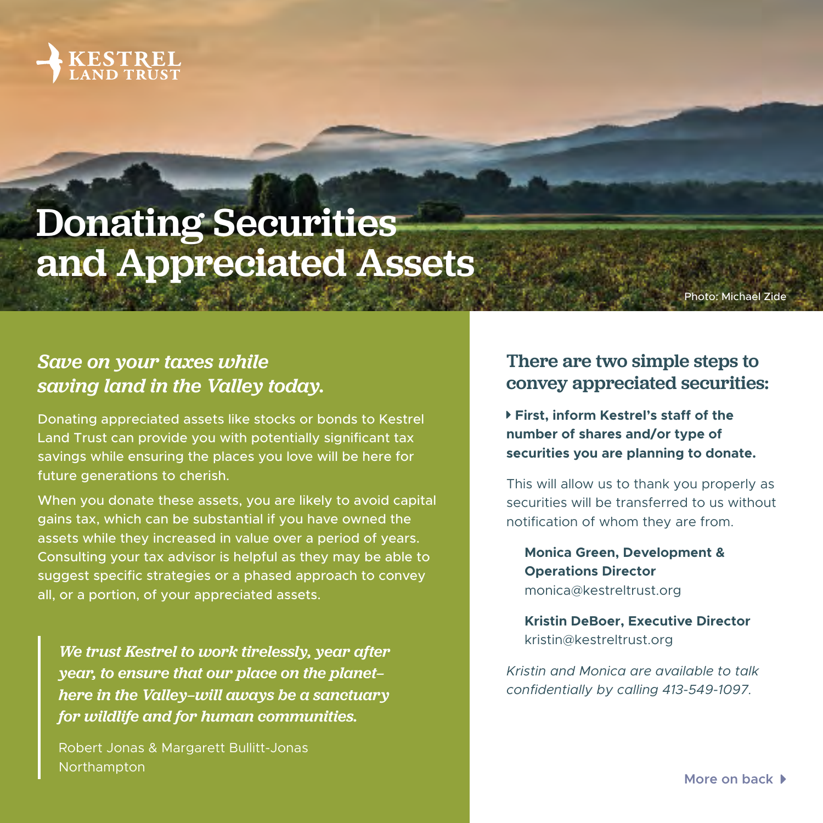

## Donating Securities and Appreciated Assets

Photo: Michael Zid

## *Save on your taxes while saving land in the Valley today.*

Donating appreciated assets like stocks or bonds to Kestrel Land Trust can provide you with potentially significant tax savings while ensuring the places you love will be here for future generations to cherish.

When you donate these assets, you are likely to avoid capital gains tax, which can be substantial if you have owned the assets while they increased in value over a period of years. Consulting your tax advisor is helpful as they may be able to suggest specific strategies or a phased approach to convey all, or a portion, of your appreciated assets.

*We trust Kestrel to work tirelessly, year after year, to ensure that our place on the planet here in the Valley—will aways be a sanctuary for wildlife and for human communities.*

Robert Jonas & Margarett Bullitt-Jonas Northampton

## There are two simple steps to convey appreciated securities:

**First, inform Kestrel's staff of the number of shares and/or type of securities you are planning to donate.**

This will allow us to thank you properly as securities will be transferred to us without notification of whom they are from.

**Monica Green, Development & Operations Director** monica@kestreltrust.org

**Kristin DeBoer, Executive Director** kristin@kestreltrust.org

*Kristin and Monica are available to talk confidentially by calling 413-549-1097.*